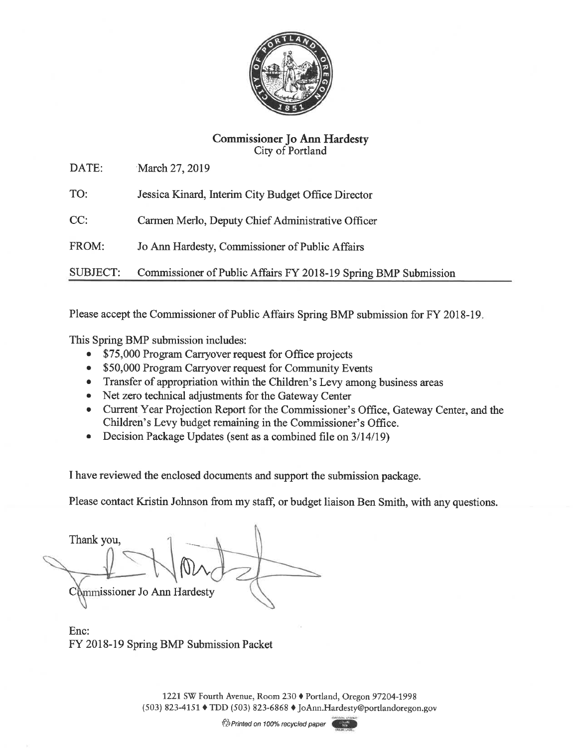

# **Commissioner Jo Ann Hardesty** City of Portland

DATE: March 27, 2019 TO: Jessica Kinard, Interim City Budget Office Director  $CC:$ Carmen Merlo, Deputy Chief Administrative Officer FROM: Jo Ann Hardesty, Commissioner of Public Affairs **SUBJECT:** Commissioner of Public Affairs FY 2018-19 Spring BMP Submission

Please accept the Commissioner of Public Affairs Spring BMP submission for FY 2018-19.

This Spring BMP submission includes:

- \$75,000 Program Carryover request for Office projects
- \$50,000 Program Carryover request for Community Events
- Transfer of appropriation within the Children's Levy among business areas
- Net zero technical adjustments for the Gateway Center
- Current Year Projection Report for the Commissioner's Office, Gateway Center, and the Children's Levy budget remaining in the Commissioner's Office.
- Decision Package Updates (sent as a combined file on 3/14/19)

I have reviewed the enclosed documents and support the submission package.

Please contact Kristin Johnson from my staff, or budget liaison Ben Smith, with any questions.

Thank you, Commissioner Jo Ann Hardesty

Enc: FY 2018-19 Spring BMP Submission Packet

> 1221 SW Fourth Avenue, Room 230 OPortland, Oregon 97204-1998 (503) 823-4151 • TDD (503) 823-6868 • JoAnn.Hardesty@portlandoregon.gov

> > *<sup>√</sup>∂Printed on 100% recycled paper*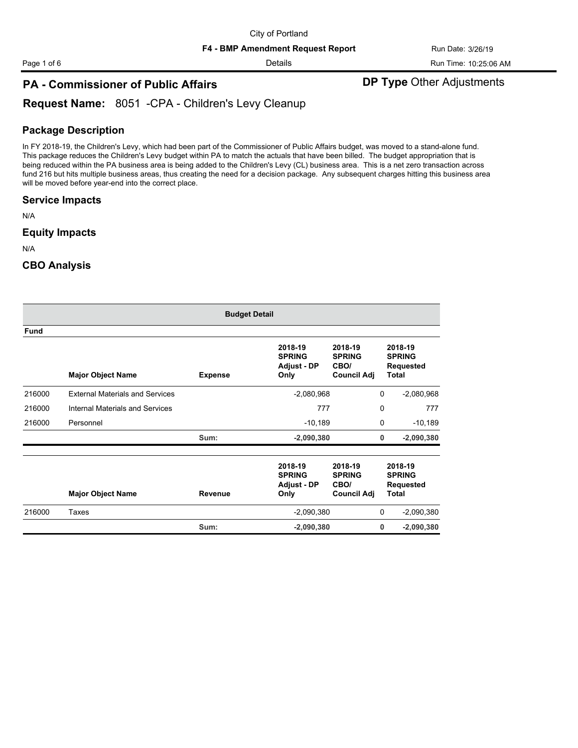Page 1 of 6 **Page 1 of 6 Details CONFIDENTIES CONFIDENTIES CONFIDENTIES CONFIDENTIES RUN Time: 10:25:06 AM** 

# **PA - Commissioner of Public Affairs**

# **DP Type** Other Adjustments

**Request Name:** 8051 -CPA - Children's Levy Cleanup

# **Package Description**

In FY 2018-19, the Children's Levy, which had been part of the Commissioner of Public Affairs budget, was moved to a stand-alone fund. This package reduces the Children's Levy budget within PA to match the actuals that have been billed. The budget appropriation that is being reduced within the PA business area is being added to the Children's Levy (CL) business area. This is a net zero transaction across fund 216 but hits multiple business areas, thus creating the need for a decision package. Any subsequent charges hitting this business area will be moved before year-end into the correct place.

#### **Service Impacts**

N/A

#### **Equity Impacts**

N/A

#### **CBO Analysis**

|             | <b>Budget Detail</b>                   |                |                                                 |                                                        |              |                                                              |
|-------------|----------------------------------------|----------------|-------------------------------------------------|--------------------------------------------------------|--------------|--------------------------------------------------------------|
| <b>Fund</b> |                                        |                |                                                 |                                                        |              |                                                              |
|             | <b>Major Object Name</b>               | <b>Expense</b> | 2018-19<br><b>SPRING</b><br>Adjust - DP<br>Only | 2018-19<br><b>SPRING</b><br>CBO/<br>Council Adj        |              | 2018-19<br><b>SPRING</b><br><b>Requested</b><br><b>Total</b> |
| 216000      | <b>External Materials and Services</b> |                | $-2,080,968$                                    |                                                        | 0            | $-2,080,968$                                                 |
| 216000      | Internal Materials and Services        |                | 777                                             |                                                        | 0            | 777                                                          |
| 216000      | Personnel                              |                | $-10,189$                                       |                                                        | 0            | $-10,189$                                                    |
|             |                                        | Sum:           | $-2,090,380$                                    |                                                        | 0            | $-2,090,380$                                                 |
|             | <b>Major Object Name</b>               | Revenue        | 2018-19<br><b>SPRING</b><br>Adjust - DP<br>Only | 2018-19<br><b>SPRING</b><br>CBO/<br><b>Council Adj</b> |              | 2018-19<br><b>SPRING</b><br><b>Requested</b><br><b>Total</b> |
| 216000      | Taxes                                  |                | $-2,090,380$                                    |                                                        | 0            | $-2,090,380$                                                 |
|             |                                        | Sum:           | $-2,090,380$                                    |                                                        | $\mathbf{0}$ | $-2,090,380$                                                 |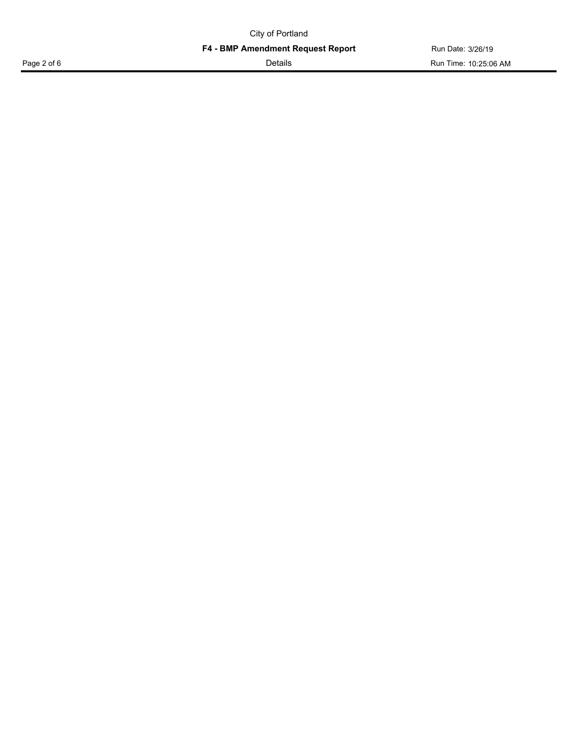| City of Portland |                                          |                       |  |  |
|------------------|------------------------------------------|-----------------------|--|--|
|                  | <b>F4 - BMP Amendment Request Report</b> | Run Date: 3/26/19     |  |  |
| Page 2 of 6      | Details                                  | Run Time: 10:25:06 AM |  |  |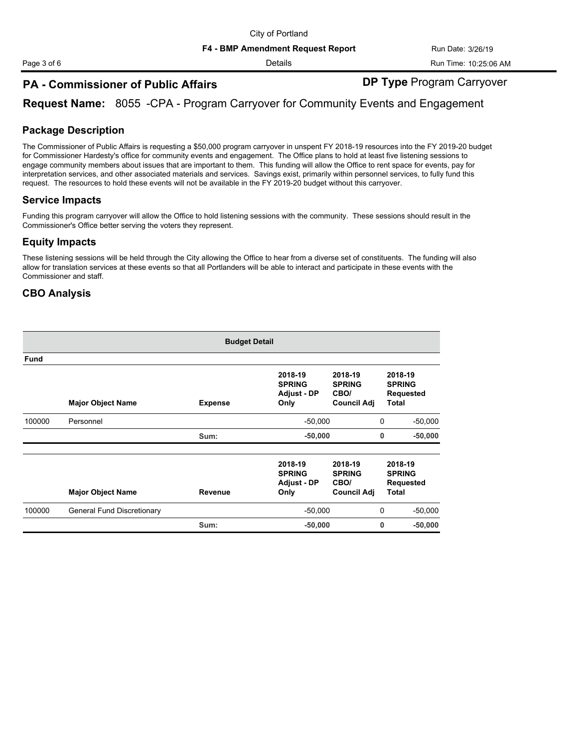Page 3 of 6 **Page 3 of 6**  $\blacksquare$  Page 3 of 6  $\blacksquare$  Run Time: 10:25:06 AM

# **PA - Commissioner of Public Affairs**

**DP Type** Program Carryover

# **Request Name:** 8055 -CPA - Program Carryover for Community Events and Engagement

## **Package Description**

The Commissioner of Public Affairs is requesting a \$50,000 program carryover in unspent FY 2018-19 resources into the FY 2019-20 budget for Commissioner Hardesty's office for community events and engagement. The Office plans to hold at least five listening sessions to engage community members about issues that are important to them. This funding will allow the Office to rent space for events, pay for interpretation services, and other associated materials and services. Savings exist, primarily within personnel services, to fully fund this request. The resources to hold these events will not be available in the FY 2019-20 budget without this carryover.

#### **Service Impacts**

Funding this program carryover will allow the Office to hold listening sessions with the community. These sessions should result in the Commissioner's Office better serving the voters they represent.

## **Equity Impacts**

These listening sessions will be held through the City allowing the Office to hear from a diverse set of constituents. The funding will also allow for translation services at these events so that all Portlanders will be able to interact and participate in these events with the Commissioner and staff.

#### **CBO Analysis**

|             |                            | <b>Budget Detail</b> |                                                 |                                                        |                                                       |                                       |
|-------------|----------------------------|----------------------|-------------------------------------------------|--------------------------------------------------------|-------------------------------------------------------|---------------------------------------|
| <b>Fund</b> |                            |                      |                                                 |                                                        |                                                       |                                       |
|             | <b>Major Object Name</b>   | <b>Expense</b>       | 2018-19<br><b>SPRING</b><br>Adjust - DP<br>Only | 2018-19<br><b>SPRING</b><br>CBO/<br><b>Council Adj</b> | <b>Total</b>                                          | 2018-19<br><b>SPRING</b><br>Requested |
| 100000      | Personnel                  |                      | $-50,000$<br>0                                  |                                                        | $-50,000$                                             |                                       |
|             |                            | Sum:                 | $-50,000$                                       |                                                        | 0                                                     | $-50,000$                             |
|             | <b>Major Object Name</b>   | <b>Revenue</b>       | 2018-19<br><b>SPRING</b><br>Adjust - DP<br>Only | 2018-19<br><b>SPRING</b><br>CBO/<br><b>Council Adj</b> | 2018-19<br><b>SPRING</b><br>Requested<br><b>Total</b> |                                       |
| 100000      | General Fund Discretionary |                      | $-50,000$                                       |                                                        | 0                                                     | $-50,000$                             |
|             |                            | Sum:                 | $-50,000$                                       |                                                        | 0                                                     | $-50,000$                             |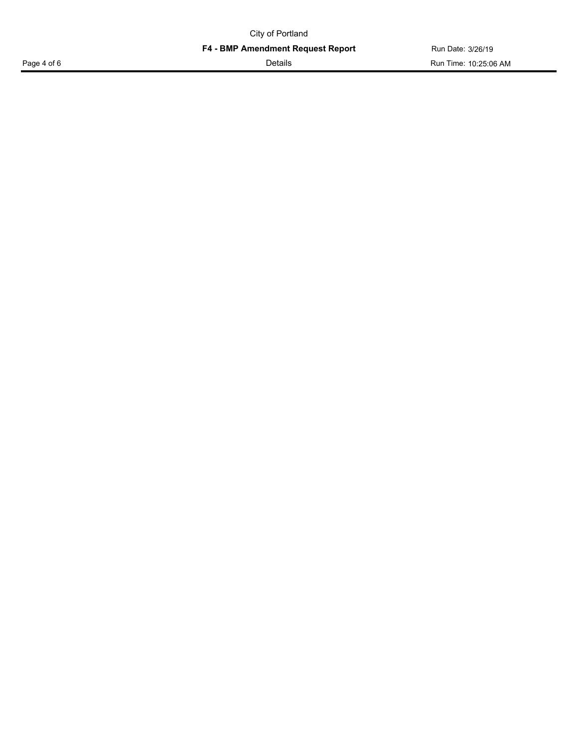| City of Portland |                                          |                       |  |
|------------------|------------------------------------------|-----------------------|--|
|                  | <b>F4 - BMP Amendment Request Report</b> | Run Date: 3/26/19     |  |
| Page 4 of 6      | Details                                  | Run Time: 10:25:06 AM |  |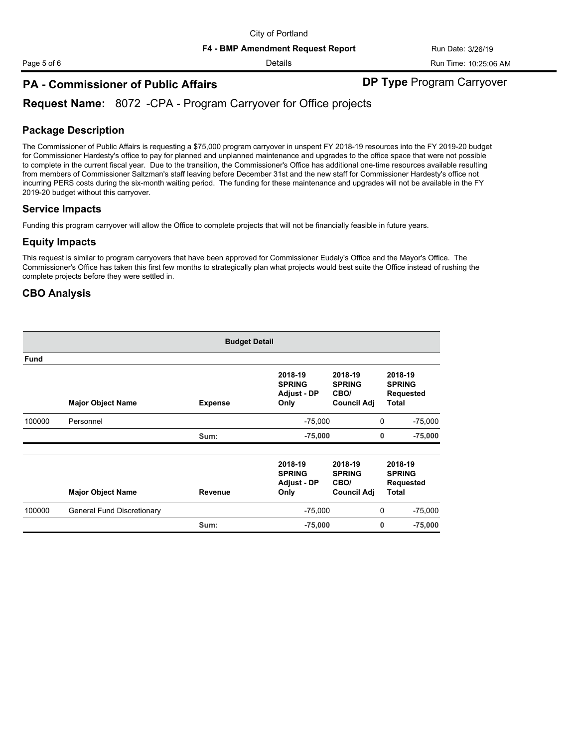## **PA - Commissioner of Public Affairs**

**DP Type** Program Carryover

# **Request Name:** 8072 -CPA - Program Carryover for Office projects

## **Package Description**

The Commissioner of Public Affairs is requesting a \$75,000 program carryover in unspent FY 2018-19 resources into the FY 2019-20 budget for Commissioner Hardesty's office to pay for planned and unplanned maintenance and upgrades to the office space that were not possible to complete in the current fiscal year. Due to the transition, the Commissioner's Office has additional one-time resources available resulting from members of Commissioner Saltzman's staff leaving before December 31st and the new staff for Commissioner Hardesty's office not incurring PERS costs during the six-month waiting period. The funding for these maintenance and upgrades will not be available in the FY 2019-20 budget without this carryover.

#### **Service Impacts**

Funding this program carryover will allow the Office to complete projects that will not be financially feasible in future years.

#### **Equity Impacts**

This request is similar to program carryovers that have been approved for Commissioner Eudaly's Office and the Mayor's Office. The Commissioner's Office has taken this first few months to strategically plan what projects would best suite the Office instead of rushing the complete projects before they were settled in.

#### **CBO Analysis**

|             |                            | <b>Budget Detail</b> |                                                        |                                                        |                                                       |                                              |
|-------------|----------------------------|----------------------|--------------------------------------------------------|--------------------------------------------------------|-------------------------------------------------------|----------------------------------------------|
| <b>Fund</b> |                            |                      |                                                        |                                                        |                                                       |                                              |
|             | <b>Major Object Name</b>   | <b>Expense</b>       | 2018-19<br><b>SPRING</b><br><b>Adjust - DP</b><br>Only | 2018-19<br><b>SPRING</b><br>CBO/<br><b>Council Adj</b> | <b>Total</b>                                          | 2018-19<br><b>SPRING</b><br><b>Requested</b> |
| 100000      | Personnel                  |                      | $-75,000$                                              |                                                        | 0                                                     | $-75,000$                                    |
|             |                            | Sum:                 | $-75,000$                                              |                                                        | 0                                                     | $-75,000$                                    |
|             | <b>Major Object Name</b>   | Revenue              | 2018-19<br><b>SPRING</b><br><b>Adjust - DP</b><br>Only | 2018-19<br><b>SPRING</b><br>CBO/<br><b>Council Adj</b> | 2018-19<br><b>SPRING</b><br>Requested<br><b>Total</b> |                                              |
| 100000      | General Fund Discretionary |                      | $-75,000$                                              |                                                        | 0                                                     | $-75,000$                                    |
|             |                            | Sum:                 | $-75,000$                                              |                                                        | 0                                                     | $-75,000$                                    |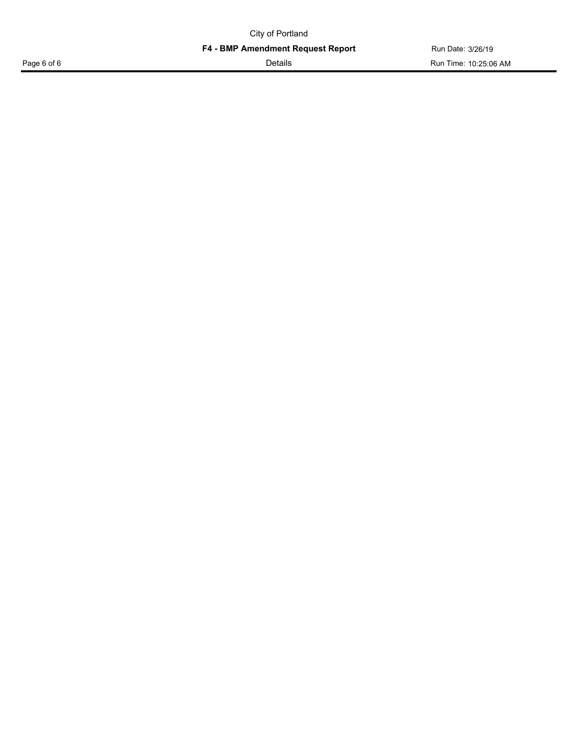| City of Portland |                                          |                       |  |
|------------------|------------------------------------------|-----------------------|--|
|                  | <b>F4 - BMP Amendment Request Report</b> | Run Date: 3/26/19     |  |
| Page 6 of 6      | Details                                  | Run Time: 10:25:06 AM |  |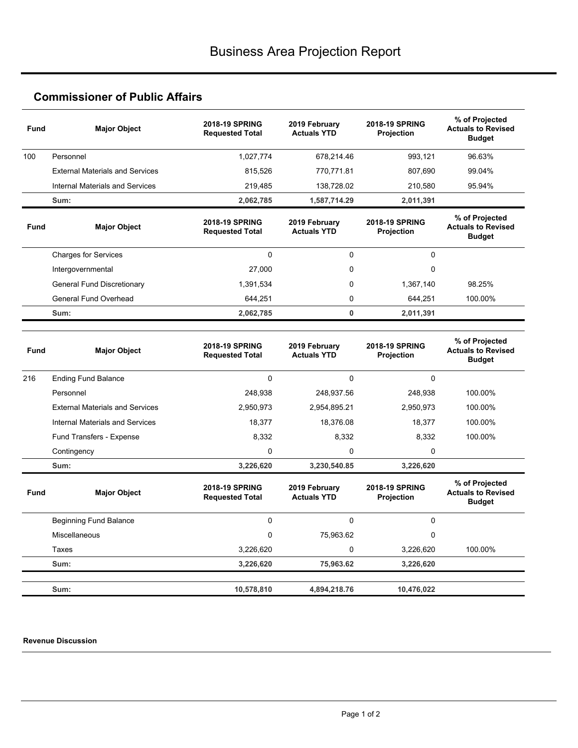# **Commissioner of Public Affairs**

| <b>Fund</b> | <b>Major Object</b>                    | <b>2018-19 SPRING</b><br><b>Requested Total</b> | 2019 February<br><b>Actuals YTD</b> | <b>2018-19 SPRING</b><br>Projection | % of Projected<br><b>Actuals to Revised</b><br><b>Budget</b> |
|-------------|----------------------------------------|-------------------------------------------------|-------------------------------------|-------------------------------------|--------------------------------------------------------------|
| 100         | Personnel                              | 1,027,774                                       | 678,214.46                          | 993,121                             | 96.63%                                                       |
|             | <b>External Materials and Services</b> | 815,526                                         | 770,771.81                          | 807,690                             | 99.04%                                                       |
|             | Internal Materials and Services        | 219,485                                         | 138,728.02                          | 210,580                             | 95.94%                                                       |
|             | Sum:                                   | 2,062,785                                       | 1,587,714.29                        | 2,011,391                           |                                                              |
| <b>Fund</b> | <b>Major Object</b>                    | <b>2018-19 SPRING</b><br><b>Requested Total</b> | 2019 February<br><b>Actuals YTD</b> | <b>2018-19 SPRING</b><br>Projection | % of Projected<br><b>Actuals to Revised</b><br><b>Budget</b> |
|             | <b>Charges for Services</b>            | $\mathbf 0$                                     | $\Omega$                            | 0                                   |                                                              |
|             | Intergovernmental                      | 27,000                                          | 0                                   | 0                                   |                                                              |
|             | General Fund Discretionary             | 1,391,534                                       | 0                                   | 1,367,140                           | 98.25%                                                       |
|             | General Fund Overhead                  | 644,251                                         | 0                                   | 644,251                             | 100.00%                                                      |
|             | Sum:                                   | 2,062,785                                       | $\bf{0}$                            | 2,011,391                           |                                                              |

| <b>Fund</b> | <b>Major Object</b>                    | <b>2018-19 SPRING</b><br><b>Requested Total</b> | 2019 February<br><b>Actuals YTD</b> | <b>2018-19 SPRING</b><br>Projection | % of Projected<br><b>Actuals to Revised</b><br><b>Budget</b> |
|-------------|----------------------------------------|-------------------------------------------------|-------------------------------------|-------------------------------------|--------------------------------------------------------------|
| 216         | <b>Ending Fund Balance</b>             | $\Omega$                                        | 0                                   | $\Omega$                            |                                                              |
|             | Personnel                              | 248,938                                         | 248,937.56                          | 248,938                             | 100.00%                                                      |
|             | <b>External Materials and Services</b> | 2,950,973                                       | 2,954,895.21                        | 2,950,973                           | 100.00%                                                      |
|             | Internal Materials and Services        | 18,377                                          | 18,376.08                           | 18,377                              | 100.00%                                                      |
|             | Fund Transfers - Expense               | 8,332                                           | 8,332                               | 8,332                               | 100.00%                                                      |
|             | Contingency                            | $\mathbf{0}$                                    | $\Omega$                            | 0                                   |                                                              |
|             | Sum:                                   | 3,226,620                                       | 3,230,540.85                        | 3,226,620                           |                                                              |
| Fund        | <b>Major Object</b>                    | <b>2018-19 SPRING</b><br><b>Requested Total</b> | 2019 February<br><b>Actuals YTD</b> | <b>2018-19 SPRING</b><br>Projection | % of Projected<br><b>Actuals to Revised</b><br><b>Budget</b> |
|             | Beginning Fund Balance                 | $\Omega$                                        | $\Omega$                            | $\Omega$                            |                                                              |
|             | Miscellaneous                          | $\Omega$                                        | 75,963.62                           | $\Omega$                            |                                                              |
|             | Taxes                                  | 3,226,620                                       | 0                                   | 3,226,620                           | 100.00%                                                      |
|             | Sum:                                   | 3,226,620                                       | 75,963.62                           | 3,226,620                           |                                                              |
|             | Sum:                                   | 10,578,810                                      | 4,894,218.76                        | 10,476,022                          |                                                              |

#### **Revenue Discussion**